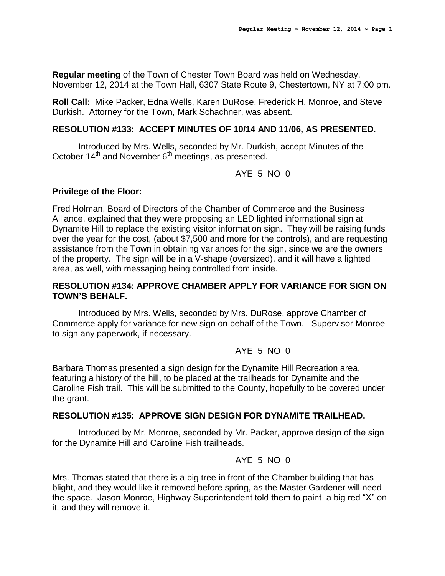**Regular meeting** of the Town of Chester Town Board was held on Wednesday, November 12, 2014 at the Town Hall, 6307 State Route 9, Chestertown, NY at 7:00 pm.

**Roll Call:** Mike Packer, Edna Wells, Karen DuRose, Frederick H. Monroe, and Steve Durkish. Attorney for the Town, Mark Schachner, was absent.

#### **RESOLUTION #133: ACCEPT MINUTES OF 10/14 AND 11/06, AS PRESENTED.**

Introduced by Mrs. Wells, seconded by Mr. Durkish, accept Minutes of the October  $14<sup>th</sup>$  and November  $6<sup>th</sup>$  meetings, as presented.

#### AYE 5 NO 0

#### **Privilege of the Floor:**

Fred Holman, Board of Directors of the Chamber of Commerce and the Business Alliance, explained that they were proposing an LED lighted informational sign at Dynamite Hill to replace the existing visitor information sign. They will be raising funds over the year for the cost, (about \$7,500 and more for the controls), and are requesting assistance from the Town in obtaining variances for the sign, since we are the owners of the property. The sign will be in a V-shape (oversized), and it will have a lighted area, as well, with messaging being controlled from inside.

#### **RESOLUTION #134: APPROVE CHAMBER APPLY FOR VARIANCE FOR SIGN ON TOWN'S BEHALF.**

Introduced by Mrs. Wells, seconded by Mrs. DuRose, approve Chamber of Commerce apply for variance for new sign on behalf of the Town. Supervisor Monroe to sign any paperwork, if necessary.

### AYE 5 NO 0

Barbara Thomas presented a sign design for the Dynamite Hill Recreation area, featuring a history of the hill, to be placed at the trailheads for Dynamite and the Caroline Fish trail. This will be submitted to the County, hopefully to be covered under the grant.

### **RESOLUTION #135: APPROVE SIGN DESIGN FOR DYNAMITE TRAILHEAD.**

Introduced by Mr. Monroe, seconded by Mr. Packer, approve design of the sign for the Dynamite Hill and Caroline Fish trailheads.

### AYE 5 NO 0

Mrs. Thomas stated that there is a big tree in front of the Chamber building that has blight, and they would like it removed before spring, as the Master Gardener will need the space. Jason Monroe, Highway Superintendent told them to paint a big red "X" on it, and they will remove it.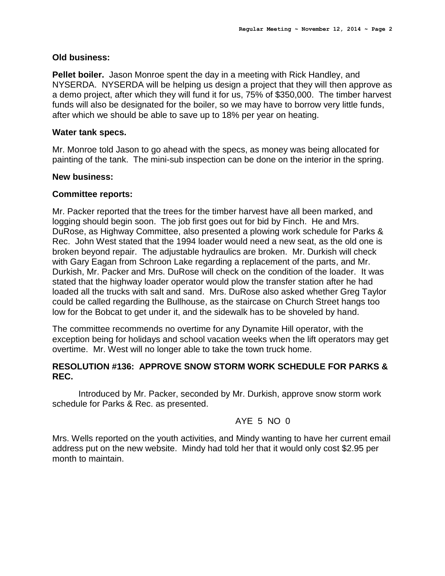#### **Old business:**

**Pellet boiler.** Jason Monroe spent the day in a meeting with Rick Handley, and NYSERDA. NYSERDA will be helping us design a project that they will then approve as a demo project, after which they will fund it for us, 75% of \$350,000. The timber harvest funds will also be designated for the boiler, so we may have to borrow very little funds, after which we should be able to save up to 18% per year on heating.

#### **Water tank specs.**

Mr. Monroe told Jason to go ahead with the specs, as money was being allocated for painting of the tank. The mini-sub inspection can be done on the interior in the spring.

#### **New business:**

#### **Committee reports:**

Mr. Packer reported that the trees for the timber harvest have all been marked, and logging should begin soon. The job first goes out for bid by Finch. He and Mrs. DuRose, as Highway Committee, also presented a plowing work schedule for Parks & Rec. John West stated that the 1994 loader would need a new seat, as the old one is broken beyond repair. The adjustable hydraulics are broken. Mr. Durkish will check with Gary Eagan from Schroon Lake regarding a replacement of the parts, and Mr. Durkish, Mr. Packer and Mrs. DuRose will check on the condition of the loader. It was stated that the highway loader operator would plow the transfer station after he had loaded all the trucks with salt and sand. Mrs. DuRose also asked whether Greg Taylor could be called regarding the Bullhouse, as the staircase on Church Street hangs too low for the Bobcat to get under it, and the sidewalk has to be shoveled by hand.

The committee recommends no overtime for any Dynamite Hill operator, with the exception being for holidays and school vacation weeks when the lift operators may get overtime. Mr. West will no longer able to take the town truck home.

#### **RESOLUTION #136: APPROVE SNOW STORM WORK SCHEDULE FOR PARKS & REC.**

Introduced by Mr. Packer, seconded by Mr. Durkish, approve snow storm work schedule for Parks & Rec. as presented.

#### AYE 5 NO 0

Mrs. Wells reported on the youth activities, and Mindy wanting to have her current email address put on the new website. Mindy had told her that it would only cost \$2.95 per month to maintain.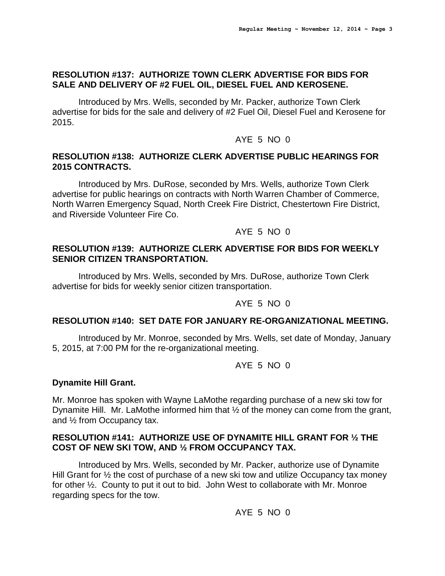# **RESOLUTION #137: AUTHORIZE TOWN CLERK ADVERTISE FOR BIDS FOR SALE AND DELIVERY OF #2 FUEL OIL, DIESEL FUEL AND KEROSENE.**

Introduced by Mrs. Wells, seconded by Mr. Packer, authorize Town Clerk advertise for bids for the sale and delivery of #2 Fuel Oil, Diesel Fuel and Kerosene for 2015.

# AYE 5 NO 0

#### **RESOLUTION #138: AUTHORIZE CLERK ADVERTISE PUBLIC HEARINGS FOR 2015 CONTRACTS.**

Introduced by Mrs. DuRose, seconded by Mrs. Wells, authorize Town Clerk advertise for public hearings on contracts with North Warren Chamber of Commerce, North Warren Emergency Squad, North Creek Fire District, Chestertown Fire District, and Riverside Volunteer Fire Co.

# AYE 5 NO 0

#### **RESOLUTION #139: AUTHORIZE CLERK ADVERTISE FOR BIDS FOR WEEKLY SENIOR CITIZEN TRANSPORTATION.**

Introduced by Mrs. Wells, seconded by Mrs. DuRose, authorize Town Clerk advertise for bids for weekly senior citizen transportation.

# AYE 5 NO 0

### **RESOLUTION #140: SET DATE FOR JANUARY RE-ORGANIZATIONAL MEETING.**

Introduced by Mr. Monroe, seconded by Mrs. Wells, set date of Monday, January 5, 2015, at 7:00 PM for the re-organizational meeting.

# AYE 5 NO 0

### **Dynamite Hill Grant.**

Mr. Monroe has spoken with Wayne LaMothe regarding purchase of a new ski tow for Dynamite Hill. Mr. LaMothe informed him that  $\frac{1}{2}$  of the money can come from the grant, and ½ from Occupancy tax.

### **RESOLUTION #141: AUTHORIZE USE OF DYNAMITE HILL GRANT FOR ½ THE COST OF NEW SKI TOW, AND ½ FROM OCCUPANCY TAX.**

Introduced by Mrs. Wells, seconded by Mr. Packer, authorize use of Dynamite Hill Grant for  $\frac{1}{2}$  the cost of purchase of a new ski tow and utilize Occupancy tax money for other ½. County to put it out to bid. John West to collaborate with Mr. Monroe regarding specs for the tow.

AYE 5 NO 0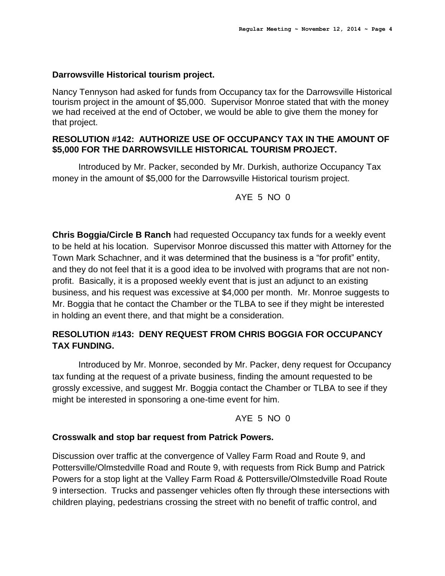#### **Darrowsville Historical tourism project.**

Nancy Tennyson had asked for funds from Occupancy tax for the Darrowsville Historical tourism project in the amount of \$5,000. Supervisor Monroe stated that with the money we had received at the end of October, we would be able to give them the money for that project.

# **RESOLUTION #142: AUTHORIZE USE OF OCCUPANCY TAX IN THE AMOUNT OF \$5,000 FOR THE DARROWSVILLE HISTORICAL TOURISM PROJECT.**

Introduced by Mr. Packer, seconded by Mr. Durkish, authorize Occupancy Tax money in the amount of \$5,000 for the Darrowsville Historical tourism project.

AYE 5 NO 0

**Chris Boggia/Circle B Ranch** had requested Occupancy tax funds for a weekly event to be held at his location. Supervisor Monroe discussed this matter with Attorney for the Town Mark Schachner, and it was determined that the business is a "for profit" entity, and they do not feel that it is a good idea to be involved with programs that are not nonprofit. Basically, it is a proposed weekly event that is just an adjunct to an existing business, and his request was excessive at \$4,000 per month. Mr. Monroe suggests to Mr. Boggia that he contact the Chamber or the TLBA to see if they might be interested in holding an event there, and that might be a consideration.

# **RESOLUTION #143: DENY REQUEST FROM CHRIS BOGGIA FOR OCCUPANCY TAX FUNDING.**

Introduced by Mr. Monroe, seconded by Mr. Packer, deny request for Occupancy tax funding at the request of a private business, finding the amount requested to be grossly excessive, and suggest Mr. Boggia contact the Chamber or TLBA to see if they might be interested in sponsoring a one-time event for him.

AYE 5 NO 0

### **Crosswalk and stop bar request from Patrick Powers.**

Discussion over traffic at the convergence of Valley Farm Road and Route 9, and Pottersville/Olmstedville Road and Route 9, with requests from Rick Bump and Patrick Powers for a stop light at the Valley Farm Road & Pottersville/Olmstedville Road Route 9 intersection. Trucks and passenger vehicles often fly through these intersections with children playing, pedestrians crossing the street with no benefit of traffic control, and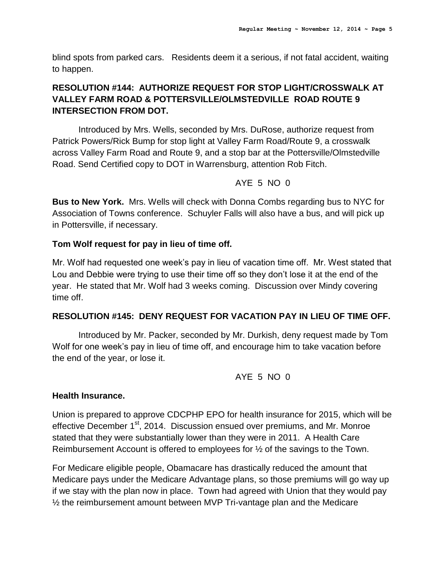blind spots from parked cars. Residents deem it a serious, if not fatal accident, waiting to happen.

# **RESOLUTION #144: AUTHORIZE REQUEST FOR STOP LIGHT/CROSSWALK AT VALLEY FARM ROAD & POTTERSVILLE/OLMSTEDVILLE ROAD ROUTE 9 INTERSECTION FROM DOT.**

Introduced by Mrs. Wells, seconded by Mrs. DuRose, authorize request from Patrick Powers/Rick Bump for stop light at Valley Farm Road/Route 9, a crosswalk across Valley Farm Road and Route 9, and a stop bar at the Pottersville/Olmstedville Road. Send Certified copy to DOT in Warrensburg, attention Rob Fitch.

# AYE 5 NO  $0$

**Bus to New York.** Mrs. Wells will check with Donna Combs regarding bus to NYC for Association of Towns conference. Schuyler Falls will also have a bus, and will pick up in Pottersville, if necessary.

# **Tom Wolf request for pay in lieu of time off.**

Mr. Wolf had requested one week's pay in lieu of vacation time off. Mr. West stated that Lou and Debbie were trying to use their time off so they don't lose it at the end of the year. He stated that Mr. Wolf had 3 weeks coming. Discussion over Mindy covering time off.

### **RESOLUTION #145: DENY REQUEST FOR VACATION PAY IN LIEU OF TIME OFF.**

Introduced by Mr. Packer, seconded by Mr. Durkish, deny request made by Tom Wolf for one week's pay in lieu of time off, and encourage him to take vacation before the end of the year, or lose it.

AYE 5 NO  $0$ 

### **Health Insurance.**

Union is prepared to approve CDCPHP EPO for health insurance for 2015, which will be effective December 1<sup>st</sup>, 2014. Discussion ensued over premiums, and Mr. Monroe stated that they were substantially lower than they were in 2011. A Health Care Reimbursement Account is offered to employees for ½ of the savings to the Town.

For Medicare eligible people, Obamacare has drastically reduced the amount that Medicare pays under the Medicare Advantage plans, so those premiums will go way up if we stay with the plan now in place. Town had agreed with Union that they would pay ½ the reimbursement amount between MVP Tri-vantage plan and the Medicare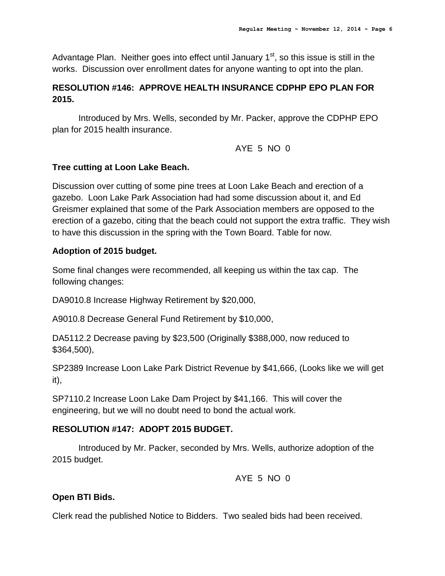Advantage Plan. Neither goes into effect until January  $1<sup>st</sup>$ , so this issue is still in the works. Discussion over enrollment dates for anyone wanting to opt into the plan.

# **RESOLUTION #146: APPROVE HEALTH INSURANCE CDPHP EPO PLAN FOR 2015.**

Introduced by Mrs. Wells, seconded by Mr. Packer, approve the CDPHP EPO plan for 2015 health insurance.

AYE 5 NO 0

# **Tree cutting at Loon Lake Beach.**

Discussion over cutting of some pine trees at Loon Lake Beach and erection of a gazebo. Loon Lake Park Association had had some discussion about it, and Ed Greismer explained that some of the Park Association members are opposed to the erection of a gazebo, citing that the beach could not support the extra traffic. They wish to have this discussion in the spring with the Town Board. Table for now.

# **Adoption of 2015 budget.**

Some final changes were recommended, all keeping us within the tax cap. The following changes:

DA9010.8 Increase Highway Retirement by \$20,000,

A9010.8 Decrease General Fund Retirement by \$10,000,

DA5112.2 Decrease paving by \$23,500 (Originally \$388,000, now reduced to \$364,500),

SP2389 Increase Loon Lake Park District Revenue by \$41,666, (Looks like we will get it),

SP7110.2 Increase Loon Lake Dam Project by \$41,166. This will cover the engineering, but we will no doubt need to bond the actual work.

# **RESOLUTION #147: ADOPT 2015 BUDGET.**

Introduced by Mr. Packer, seconded by Mrs. Wells, authorize adoption of the 2015 budget.

AYE 5 NO 0

# **Open BTI Bids.**

Clerk read the published Notice to Bidders. Two sealed bids had been received.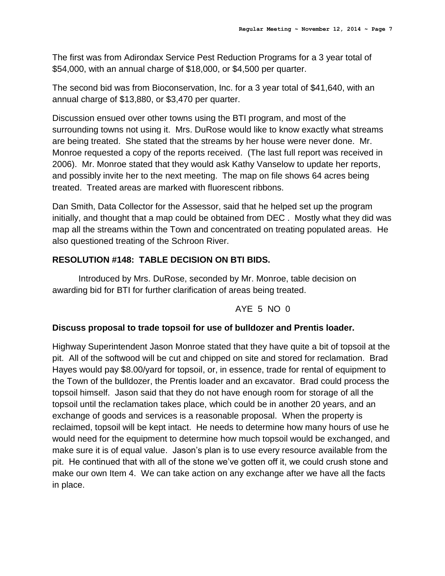The first was from Adirondax Service Pest Reduction Programs for a 3 year total of \$54,000, with an annual charge of \$18,000, or \$4,500 per quarter.

The second bid was from Bioconservation, Inc. for a 3 year total of \$41,640, with an annual charge of \$13,880, or \$3,470 per quarter.

Discussion ensued over other towns using the BTI program, and most of the surrounding towns not using it. Mrs. DuRose would like to know exactly what streams are being treated. She stated that the streams by her house were never done. Mr. Monroe requested a copy of the reports received. (The last full report was received in 2006). Mr. Monroe stated that they would ask Kathy Vanselow to update her reports, and possibly invite her to the next meeting. The map on file shows 64 acres being treated. Treated areas are marked with fluorescent ribbons.

Dan Smith, Data Collector for the Assessor, said that he helped set up the program initially, and thought that a map could be obtained from DEC . Mostly what they did was map all the streams within the Town and concentrated on treating populated areas. He also questioned treating of the Schroon River.

# **RESOLUTION #148: TABLE DECISION ON BTI BIDS.**

Introduced by Mrs. DuRose, seconded by Mr. Monroe, table decision on awarding bid for BTI for further clarification of areas being treated.

### AYE 5 NO 0

### **Discuss proposal to trade topsoil for use of bulldozer and Prentis loader.**

Highway Superintendent Jason Monroe stated that they have quite a bit of topsoil at the pit. All of the softwood will be cut and chipped on site and stored for reclamation. Brad Hayes would pay \$8.00/yard for topsoil, or, in essence, trade for rental of equipment to the Town of the bulldozer, the Prentis loader and an excavator. Brad could process the topsoil himself. Jason said that they do not have enough room for storage of all the topsoil until the reclamation takes place, which could be in another 20 years, and an exchange of goods and services is a reasonable proposal. When the property is reclaimed, topsoil will be kept intact. He needs to determine how many hours of use he would need for the equipment to determine how much topsoil would be exchanged, and make sure it is of equal value. Jason's plan is to use every resource available from the pit. He continued that with all of the stone we've gotten off it, we could crush stone and make our own Item 4. We can take action on any exchange after we have all the facts in place.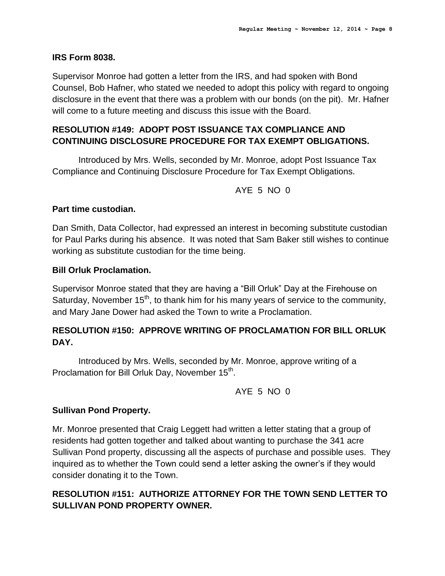#### **IRS Form 8038.**

Supervisor Monroe had gotten a letter from the IRS, and had spoken with Bond Counsel, Bob Hafner, who stated we needed to adopt this policy with regard to ongoing disclosure in the event that there was a problem with our bonds (on the pit). Mr. Hafner will come to a future meeting and discuss this issue with the Board.

# **RESOLUTION #149: ADOPT POST ISSUANCE TAX COMPLIANCE AND CONTINUING DISCLOSURE PROCEDURE FOR TAX EXEMPT OBLIGATIONS.**

Introduced by Mrs. Wells, seconded by Mr. Monroe, adopt Post Issuance Tax Compliance and Continuing Disclosure Procedure for Tax Exempt Obligations.

AYE 5 NO 0

### **Part time custodian.**

Dan Smith, Data Collector, had expressed an interest in becoming substitute custodian for Paul Parks during his absence. It was noted that Sam Baker still wishes to continue working as substitute custodian for the time being.

#### **Bill Orluk Proclamation.**

Supervisor Monroe stated that they are having a "Bill Orluk" Day at the Firehouse on Saturday, November  $15<sup>th</sup>$ , to thank him for his many years of service to the community, and Mary Jane Dower had asked the Town to write a Proclamation.

# **RESOLUTION #150: APPROVE WRITING OF PROCLAMATION FOR BILL ORLUK DAY.**

Introduced by Mrs. Wells, seconded by Mr. Monroe, approve writing of a Proclamation for Bill Orluk Day, November 15<sup>th</sup>.

AYE 5 NO 0

### **Sullivan Pond Property.**

Mr. Monroe presented that Craig Leggett had written a letter stating that a group of residents had gotten together and talked about wanting to purchase the 341 acre Sullivan Pond property, discussing all the aspects of purchase and possible uses. They inquired as to whether the Town could send a letter asking the owner's if they would consider donating it to the Town.

# **RESOLUTION #151: AUTHORIZE ATTORNEY FOR THE TOWN SEND LETTER TO SULLIVAN POND PROPERTY OWNER.**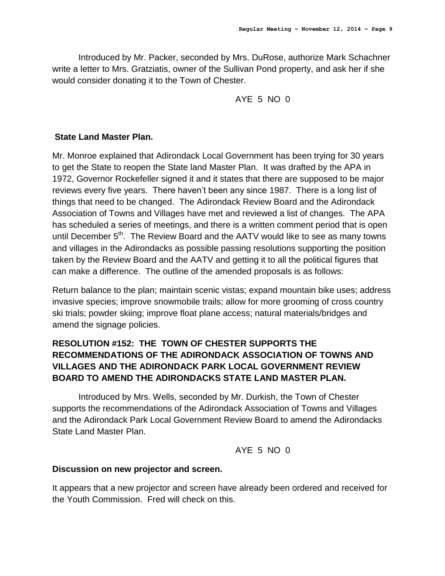Introduced by Mr. Packer, seconded by Mrs. DuRose, authorize Mark Schachner write a letter to Mrs. Gratziatis, owner of the Sullivan Pond property, and ask her if she would consider donating it to the Town of Chester.

# AYE 5 NO 0

# **State Land Master Plan.**

Mr. Monroe explained that Adirondack Local Government has been trying for 30 years to get the State to reopen the State land Master Plan. It was drafted by the APA in 1972, Governor Rockefeller signed it and it states that there are supposed to be major reviews every five years. There haven't been any since 1987. There is a long list of things that need to be changed. The Adirondack Review Board and the Adirondack Association of Towns and Villages have met and reviewed a list of changes. The APA has scheduled a series of meetings, and there is a written comment period that is open until December 5<sup>th</sup>. The Review Board and the AATV would like to see as many towns and villages in the Adirondacks as possible passing resolutions supporting the position taken by the Review Board and the AATV and getting it to all the political figures that can make a difference. The outline of the amended proposals is as follows:

Return balance to the plan; maintain scenic vistas; expand mountain bike uses; address invasive species; improve snowmobile trails; allow for more grooming of cross country ski trials; powder skiing; improve float plane access; natural materials/bridges and amend the signage policies.

# **RESOLUTION #152: THE TOWN OF CHESTER SUPPORTS THE RECOMMENDATIONS OF THE ADIRONDACK ASSOCIATION OF TOWNS AND VILLAGES AND THE ADIRONDACK PARK LOCAL GOVERNMENT REVIEW BOARD TO AMEND THE ADIRONDACKS STATE LAND MASTER PLAN.**

Introduced by Mrs. Wells, seconded by Mr. Durkish, the Town of Chester supports the recommendations of the Adirondack Association of Towns and Villages and the Adirondack Park Local Government Review Board to amend the Adirondacks State Land Master Plan.

AYE 5 NO 0

### **Discussion on new projector and screen.**

It appears that a new projector and screen have already been ordered and received for the Youth Commission. Fred will check on this.